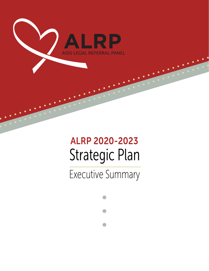

# Strategic Plan ALRP 2020-2023

Executive Summary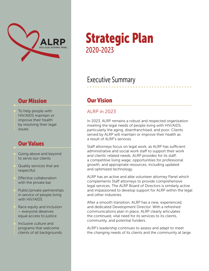

#### **Our Mission Cur Vision**

To help people with HIV/AIDS maintain or improve their health by resolving their legal issues.

#### Our Values

- Going above and beyond to serve our clients
- Quality services that are respectful
- Effective collaboration with the private bar
- Public/private partnerships in service of people living with HIV/AIDS
- Race equity and inclusion – everyone deserves equal access to justice
- Inclusive culture and programs that welcome clients of all backgrounds

## Strategic Plan 2020-2023

### Executive Summary

#### ALRP in 2023

In 2023, ALRP remains a robust and respected organization meeting the legal needs of people living with HIV/AIDS, particularly the aging, disenfranchised, and poor. Clients served by ALRP will maintain or improve their health as a result of ALRP's services.

Staff attorneys focus on legal work, as ALRP has sufficient administrative and social work staff to support their work and clients' related needs. ALRP provides for its staff: a competitive living wage; opportunities for professional growth; and appropriate resources, including updated and optimized technology.

ALRP has an active and able volunteer attorney Panel which complements Staff attorneys to provide comprehensive legal services. The ALRP Board of Directors is similarly active and impassioned to develop support for ALRP within the legal and other industries.

After a smooth transition, ALRP has a new, experienced, and dedicated Development Director. With a refreshed communications plan in place, ALRP clearly articulates the continued, vital need for its services to its clients, community, and potential funders.

ALRP's leadership continues to assess and adapt to meet the changing needs of its clients and the community at large.